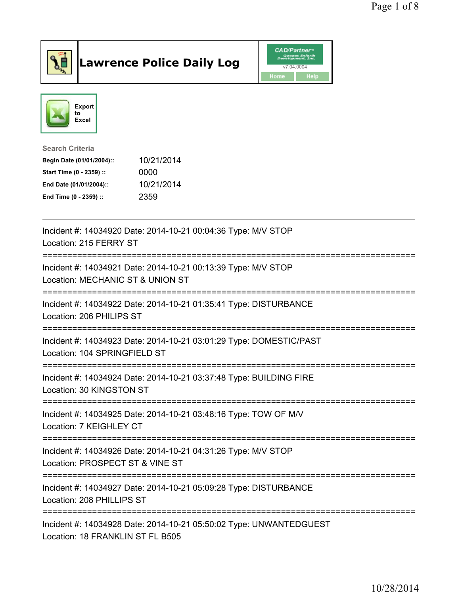

## Lawrence Police Daily Log Value of the CAD/Partner





Search Criteria

| Begin Date (01/01/2004):: | 10/21/2014 |  |
|---------------------------|------------|--|
| Start Time (0 - 2359) ::  | 0000       |  |
| End Date (01/01/2004)::   | 10/21/2014 |  |
| End Time (0 - 2359) ::    | 2359       |  |

| Incident #: 14034920 Date: 2014-10-21 00:04:36 Type: M/V STOP<br>Location: 215 FERRY ST                |
|--------------------------------------------------------------------------------------------------------|
| Incident #: 14034921 Date: 2014-10-21 00:13:39 Type: M/V STOP<br>Location: MECHANIC ST & UNION ST      |
| Incident #: 14034922 Date: 2014-10-21 01:35:41 Type: DISTURBANCE<br>Location: 206 PHILIPS ST           |
| Incident #: 14034923 Date: 2014-10-21 03:01:29 Type: DOMESTIC/PAST<br>Location: 104 SPRINGFIELD ST     |
| Incident #: 14034924 Date: 2014-10-21 03:37:48 Type: BUILDING FIRE<br>Location: 30 KINGSTON ST         |
| Incident #: 14034925 Date: 2014-10-21 03:48:16 Type: TOW OF M/V<br>Location: 7 KEIGHLEY CT             |
| Incident #: 14034926 Date: 2014-10-21 04:31:26 Type: M/V STOP<br>Location: PROSPECT ST & VINE ST       |
| Incident #: 14034927 Date: 2014-10-21 05:09:28 Type: DISTURBANCE<br>Location: 208 PHILLIPS ST          |
| Incident #: 14034928 Date: 2014-10-21 05:50:02 Type: UNWANTEDGUEST<br>Location: 18 FRANKLIN ST FL B505 |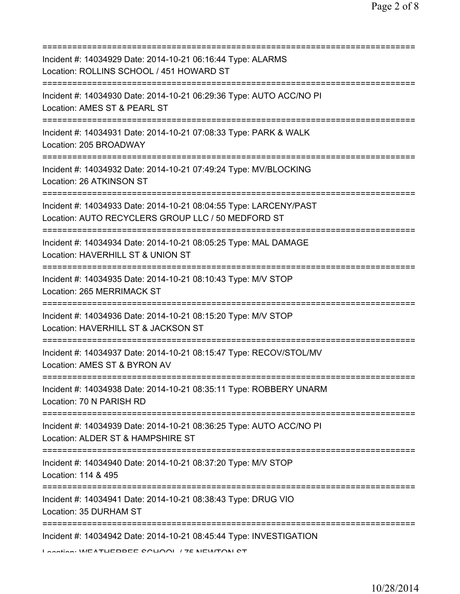| Incident #: 14034929 Date: 2014-10-21 06:16:44 Type: ALARMS<br>Location: ROLLINS SCHOOL / 451 HOWARD ST                                   |
|-------------------------------------------------------------------------------------------------------------------------------------------|
| Incident #: 14034930 Date: 2014-10-21 06:29:36 Type: AUTO ACC/NO PI<br>Location: AMES ST & PEARL ST                                       |
| Incident #: 14034931 Date: 2014-10-21 07:08:33 Type: PARK & WALK<br>Location: 205 BROADWAY                                                |
| Incident #: 14034932 Date: 2014-10-21 07:49:24 Type: MV/BLOCKING<br>Location: 26 ATKINSON ST                                              |
| Incident #: 14034933 Date: 2014-10-21 08:04:55 Type: LARCENY/PAST<br>Location: AUTO RECYCLERS GROUP LLC / 50 MEDFORD ST                   |
| Incident #: 14034934 Date: 2014-10-21 08:05:25 Type: MAL DAMAGE<br>Location: HAVERHILL ST & UNION ST                                      |
| Incident #: 14034935 Date: 2014-10-21 08:10:43 Type: M/V STOP<br>Location: 265 MERRIMACK ST                                               |
| Incident #: 14034936 Date: 2014-10-21 08:15:20 Type: M/V STOP<br>Location: HAVERHILL ST & JACKSON ST                                      |
| Incident #: 14034937 Date: 2014-10-21 08:15:47 Type: RECOV/STOL/MV<br>Location: AMES ST & BYRON AV                                        |
| Incident #: 14034938 Date: 2014-10-21 08:35:11 Type: ROBBERY UNARM<br>Location: 70 N PARISH RD                                            |
| =============================<br>Incident #: 14034939 Date: 2014-10-21 08:36:25 Type: AUTO ACC/NO PI<br>Location: ALDER ST & HAMPSHIRE ST |
| ----------<br>Incident #: 14034940 Date: 2014-10-21 08:37:20 Type: M/V STOP<br>Location: 114 & 495                                        |
| Incident #: 14034941 Date: 2014-10-21 08:38:43 Type: DRUG VIO<br>Location: 35 DURHAM ST                                                   |
| Incident #: 14034942 Date: 2014-10-21 08:45:44 Type: INVESTIGATION<br>I contion: IMEATUEDDEE COUOOI /7E NEIMTONI CT                       |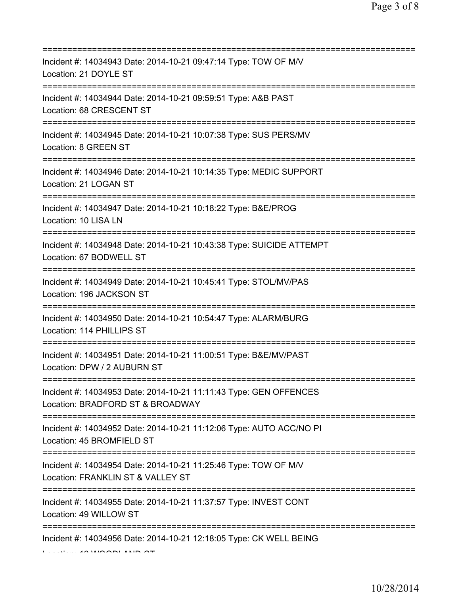| Incident #: 14034943 Date: 2014-10-21 09:47:14 Type: TOW OF M/V<br>Location: 21 DOYLE ST                                                |
|-----------------------------------------------------------------------------------------------------------------------------------------|
| Incident #: 14034944 Date: 2014-10-21 09:59:51 Type: A&B PAST<br>Location: 68 CRESCENT ST                                               |
| Incident #: 14034945 Date: 2014-10-21 10:07:38 Type: SUS PERS/MV<br>Location: 8 GREEN ST                                                |
| Incident #: 14034946 Date: 2014-10-21 10:14:35 Type: MEDIC SUPPORT<br>Location: 21 LOGAN ST                                             |
| Incident #: 14034947 Date: 2014-10-21 10:18:22 Type: B&E/PROG<br>Location: 10 LISA LN                                                   |
| Incident #: 14034948 Date: 2014-10-21 10:43:38 Type: SUICIDE ATTEMPT<br>Location: 67 BODWELL ST<br>==================================== |
| Incident #: 14034949 Date: 2014-10-21 10:45:41 Type: STOL/MV/PAS<br>Location: 196 JACKSON ST                                            |
| Incident #: 14034950 Date: 2014-10-21 10:54:47 Type: ALARM/BURG<br>Location: 114 PHILLIPS ST<br>==========================              |
| Incident #: 14034951 Date: 2014-10-21 11:00:51 Type: B&E/MV/PAST<br>Location: DPW / 2 AUBURN ST                                         |
| Incident #: 14034953 Date: 2014-10-21 11:11:43 Type: GEN OFFENCES<br>Location: BRADFORD ST & BROADWAY                                   |
| Incident #: 14034952 Date: 2014-10-21 11:12:06 Type: AUTO ACC/NO PI<br>Location: 45 BROMFIELD ST                                        |
| Incident #: 14034954 Date: 2014-10-21 11:25:46 Type: TOW OF M/V<br>Location: FRANKLIN ST & VALLEY ST                                    |
| ========================<br>Incident #: 14034955 Date: 2014-10-21 11:37:57 Type: INVEST CONT<br>Location: 49 WILLOW ST                  |
| ===========================<br>Incident #: 14034956 Date: 2014-10-21 12:18:05 Type: CK WELL BEING                                       |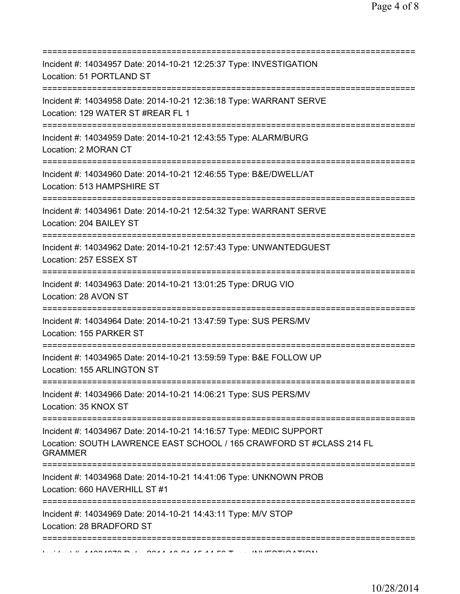| Incident #: 14034957 Date: 2014-10-21 12:25:37 Type: INVESTIGATION<br>Location: 51 PORTLAND ST                                                               |
|--------------------------------------------------------------------------------------------------------------------------------------------------------------|
| Incident #: 14034958 Date: 2014-10-21 12:36:18 Type: WARRANT SERVE<br>Location: 129 WATER ST #REAR FL 1<br>=======================                           |
| Incident #: 14034959 Date: 2014-10-21 12:43:55 Type: ALARM/BURG<br>Location: 2 MORAN CT                                                                      |
| Incident #: 14034960 Date: 2014-10-21 12:46:55 Type: B&E/DWELL/AT<br>Location: 513 HAMPSHIRE ST                                                              |
| Incident #: 14034961 Date: 2014-10-21 12:54:32 Type: WARRANT SERVE<br>Location: 204 BAILEY ST                                                                |
| ;=============================<br>Incident #: 14034962 Date: 2014-10-21 12:57:43 Type: UNWANTEDGUEST<br>Location: 257 ESSEX ST                               |
| Incident #: 14034963 Date: 2014-10-21 13:01:25 Type: DRUG VIO<br>Location: 28 AVON ST                                                                        |
| Incident #: 14034964 Date: 2014-10-21 13:47:59 Type: SUS PERS/MV<br>Location: 155 PARKER ST                                                                  |
| Incident #: 14034965 Date: 2014-10-21 13:59:59 Type: B&E FOLLOW UP<br>Location: 155 ARLINGTON ST                                                             |
| Incident #: 14034966 Date: 2014-10-21 14:06:21 Type: SUS PERS/MV<br>Location: 35 KNOX ST                                                                     |
| Incident #: 14034967 Date: 2014-10-21 14:16:57 Type: MEDIC SUPPORT<br>Location: SOUTH LAWRENCE EAST SCHOOL / 165 CRAWFORD ST #CLASS 214 FL<br><b>GRAMMER</b> |
| Incident #: 14034968 Date: 2014-10-21 14:41:06 Type: UNKNOWN PROB<br>Location: 660 HAVERHILL ST #1                                                           |
| Incident #: 14034969 Date: 2014-10-21 14:43:11 Type: M/V STOP<br>Location: 28 BRADFORD ST                                                                    |
| :=========                                                                                                                                                   |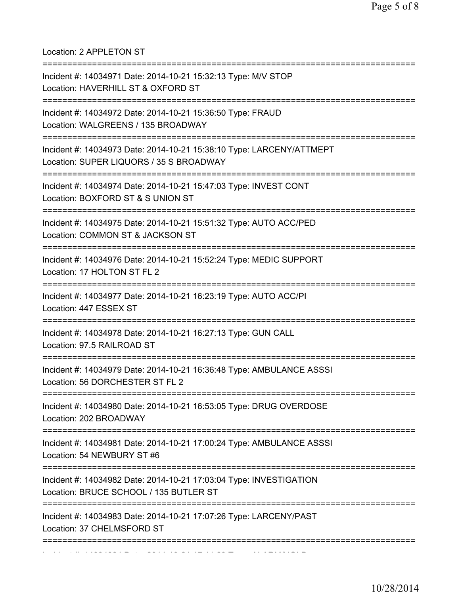Location: 2 APPLETON ST

| Incident #: 14034971 Date: 2014-10-21 15:32:13 Type: M/V STOP<br>Location: HAVERHILL ST & OXFORD ST<br>;=============================== |
|-----------------------------------------------------------------------------------------------------------------------------------------|
| Incident #: 14034972 Date: 2014-10-21 15:36:50 Type: FRAUD<br>Location: WALGREENS / 135 BROADWAY<br>--------------------                |
| Incident #: 14034973 Date: 2014-10-21 15:38:10 Type: LARCENY/ATTMEPT<br>Location: SUPER LIQUORS / 35 S BROADWAY                         |
| Incident #: 14034974 Date: 2014-10-21 15:47:03 Type: INVEST CONT<br>Location: BOXFORD ST & S UNION ST                                   |
| Incident #: 14034975 Date: 2014-10-21 15:51:32 Type: AUTO ACC/PED<br>Location: COMMON ST & JACKSON ST                                   |
| Incident #: 14034976 Date: 2014-10-21 15:52:24 Type: MEDIC SUPPORT<br>Location: 17 HOLTON ST FL 2                                       |
| Incident #: 14034977 Date: 2014-10-21 16:23:19 Type: AUTO ACC/PI<br>Location: 447 ESSEX ST                                              |
| Incident #: 14034978 Date: 2014-10-21 16:27:13 Type: GUN CALL<br>Location: 97.5 RAILROAD ST                                             |
| Incident #: 14034979 Date: 2014-10-21 16:36:48 Type: AMBULANCE ASSSI<br>Location: 56 DORCHESTER ST FL 2                                 |
| Incident #: 14034980 Date: 2014-10-21 16:53:05 Type: DRUG OVERDOSE<br>Location: 202 BROADWAY                                            |
| Incident #: 14034981 Date: 2014-10-21 17:00:24 Type: AMBULANCE ASSSI<br>Location: 54 NEWBURY ST #6                                      |
| Incident #: 14034982 Date: 2014-10-21 17:03:04 Type: INVESTIGATION<br>Location: BRUCE SCHOOL / 135 BUTLER ST                            |
| Incident #: 14034983 Date: 2014-10-21 17:07:26 Type: LARCENY/PAST<br>Location: 37 CHELMSFORD ST                                         |
|                                                                                                                                         |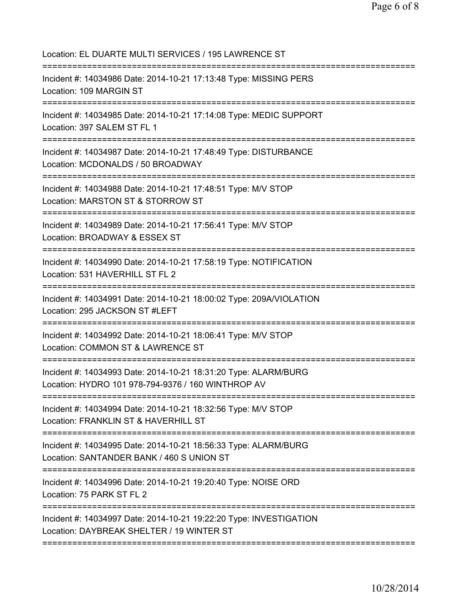Location: EL DUARTE MULTI SERVICES / 195 LAWRENCE ST =========================================================================== Incident #: 14034986 Date: 2014-10-21 17:13:48 Type: MISSING PERS Location: 109 MARGIN ST =========================================================================== Incident #: 14034985 Date: 2014-10-21 17:14:08 Type: MEDIC SUPPORT Location: 397 SALEM ST FL 1 =========================================================================== Incident #: 14034987 Date: 2014-10-21 17:48:49 Type: DISTURBANCE Location: MCDONALDS / 50 BROADWAY =========================================================================== Incident #: 14034988 Date: 2014-10-21 17:48:51 Type: M/V STOP Location: MARSTON ST & STORROW ST =========================================================================== Incident #: 14034989 Date: 2014-10-21 17:56:41 Type: M/V STOP Location: BROADWAY & ESSEX ST =========================================================================== Incident #: 14034990 Date: 2014-10-21 17:58:19 Type: NOTIFICATION Location: 531 HAVERHILL ST FL 2 =========================================================================== Incident #: 14034991 Date: 2014-10-21 18:00:02 Type: 209A/VIOLATION Location: 295 JACKSON ST #LEFT =========================================================================== Incident #: 14034992 Date: 2014-10-21 18:06:41 Type: M/V STOP Location: COMMON ST & LAWRENCE ST =========================================================================== Incident #: 14034993 Date: 2014-10-21 18:31:20 Type: ALARM/BURG Location: HYDRO 101 978-794-9376 / 160 WINTHROP AV =========================================================================== Incident #: 14034994 Date: 2014-10-21 18:32:56 Type: M/V STOP Location: FRANKLIN ST & HAVERHILL ST =========================================================================== Incident #: 14034995 Date: 2014-10-21 18:56:33 Type: ALARM/BURG Location: SANTANDER BANK / 460 S UNION ST =========================================================================== Incident #: 14034996 Date: 2014-10-21 19:20:40 Type: NOISE ORD Location: 75 PARK ST FL 2 =========================================================================== Incident #: 14034997 Date: 2014-10-21 19:22:20 Type: INVESTIGATION Location: DAYBREAK SHELTER / 19 WINTER ST ===========================================================================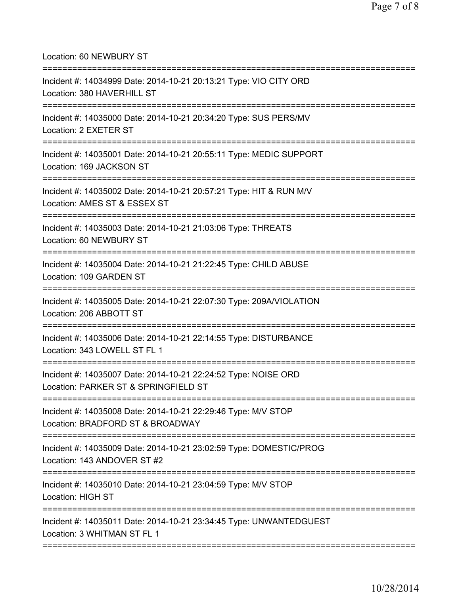## Location: 60 NEWBURY ST

| Incident #: 14034999 Date: 2014-10-21 20:13:21 Type: VIO CITY ORD<br>Location: 380 HAVERHILL ST                                            |
|--------------------------------------------------------------------------------------------------------------------------------------------|
| =====================<br>Incident #: 14035000 Date: 2014-10-21 20:34:20 Type: SUS PERS/MV<br>Location: 2 EXETER ST                         |
| Incident #: 14035001 Date: 2014-10-21 20:55:11 Type: MEDIC SUPPORT<br>Location: 169 JACKSON ST<br>===================================      |
| Incident #: 14035002 Date: 2014-10-21 20:57:21 Type: HIT & RUN M/V<br>Location: AMES ST & ESSEX ST<br>==================================== |
| Incident #: 14035003 Date: 2014-10-21 21:03:06 Type: THREATS<br>Location: 60 NEWBURY ST                                                    |
| Incident #: 14035004 Date: 2014-10-21 21:22:45 Type: CHILD ABUSE<br>Location: 109 GARDEN ST                                                |
| Incident #: 14035005 Date: 2014-10-21 22:07:30 Type: 209A/VIOLATION<br>Location: 206 ABBOTT ST                                             |
| Incident #: 14035006 Date: 2014-10-21 22:14:55 Type: DISTURBANCE<br>Location: 343 LOWELL ST FL 1                                           |
| Incident #: 14035007 Date: 2014-10-21 22:24:52 Type: NOISE ORD<br>Location: PARKER ST & SPRINGFIELD ST                                     |
| Incident #: 14035008 Date: 2014-10-21 22:29:46 Type: M/V STOP<br>Location: BRADFORD ST & BROADWAY                                          |
| Incident #: 14035009 Date: 2014-10-21 23:02:59 Type: DOMESTIC/PROG<br>Location: 143 ANDOVER ST #2                                          |
| Incident #: 14035010 Date: 2014-10-21 23:04:59 Type: M/V STOP<br>Location: HIGH ST                                                         |
| Incident #: 14035011 Date: 2014-10-21 23:34:45 Type: UNWANTEDGUEST<br>Location: 3 WHITMAN ST FL 1                                          |
|                                                                                                                                            |